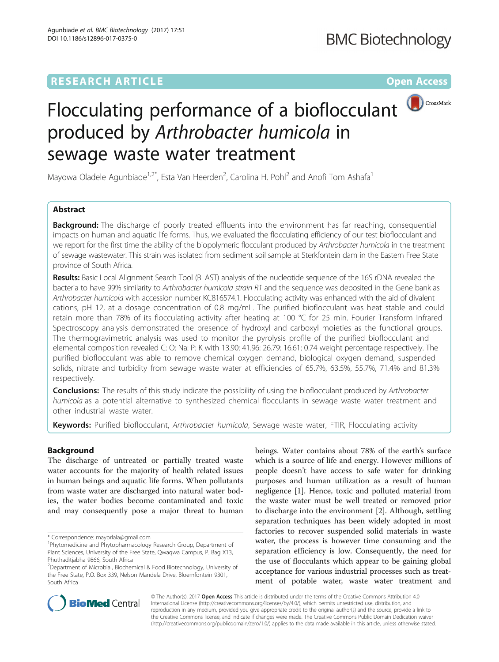# **RESEARCH ARTICLE Example 2014 12:30 The Contract of Contract ACCESS**



# Flocculating performance of a bioflocculant **OCCCONG A**CCOSSMark produced by Arthrobacter humicola in sewage waste water treatment

Mayowa Oladele Agunbiade<sup>1,2\*</sup>, Esta Van Heerden<sup>2</sup>, Carolina H. Pohl<sup>2</sup> and Anofi Tom Ashafa<sup>1</sup>

# Abstract

**Background:** The discharge of poorly treated effluents into the environment has far reaching, consequential impacts on human and aquatic life forms. Thus, we evaluated the flocculating efficiency of our test bioflocculant and we report for the first time the ability of the biopolymeric flocculant produced by Arthrobacter humicola in the treatment of sewage wastewater. This strain was isolated from sediment soil sample at Sterkfontein dam in the Eastern Free State province of South Africa.

Results: Basic Local Alignment Search Tool (BLAST) analysis of the nucleotide sequence of the 16S rDNA revealed the bacteria to have 99% similarity to Arthrobacter humicola strain R1 and the sequence was deposited in the Gene bank as Arthrobacter humicola with accession number KC816574.1. Flocculating activity was enhanced with the aid of divalent cations, pH 12, at a dosage concentration of 0.8 mg/mL. The purified bioflocculant was heat stable and could retain more than 78% of its flocculating activity after heating at 100 °C for 25 min. Fourier Transform Infrared Spectroscopy analysis demonstrated the presence of hydroxyl and carboxyl moieties as the functional groups. The thermogravimetric analysis was used to monitor the pyrolysis profile of the purified bioflocculant and elemental composition revealed C: O: Na: P: K with 13.90: 41.96: 26.79: 16.61: 0.74 weight percentage respectively. The purified bioflocculant was able to remove chemical oxygen demand, biological oxygen demand, suspended solids, nitrate and turbidity from sewage waste water at efficiencies of 65.7%, 63.5%, 55.7%, 71.4% and 81.3% respectively.

**Conclusions:** The results of this study indicate the possibility of using the bioflocculant produced by Arthrobacter humicola as a potential alternative to synthesized chemical flocculants in sewage waste water treatment and other industrial waste water.

Keywords: Purified bioflocculant, Arthrobacter humicola, Sewage waste water, FTIR, Flocculating activity

# Background

The discharge of untreated or partially treated waste water accounts for the majority of health related issues in human beings and aquatic life forms. When pollutants from waste water are discharged into natural water bodies, the water bodies become contaminated and toxic and may consequently pose a major threat to human

beings. Water contains about 78% of the earth's surface which is a source of life and energy. However millions of people doesn't have access to safe water for drinking purposes and human utilization as a result of human negligence [[1\]](#page-7-0). Hence, toxic and polluted material from the waste water must be well treated or removed prior to discharge into the environment [[2\]](#page-7-0). Although, settling separation techniques has been widely adopted in most factories to recover suspended solid materials in waste water, the process is however time consuming and the separation efficiency is low. Consequently, the need for the use of flocculants which appear to be gaining global acceptance for various industrial processes such as treatment of potable water, waste water treatment and



© The Author(s). 2017 **Open Access** This article is distributed under the terms of the Creative Commons Attribution 4.0 International License [\(http://creativecommons.org/licenses/by/4.0/](http://creativecommons.org/licenses/by/4.0/)), which permits unrestricted use, distribution, and reproduction in any medium, provided you give appropriate credit to the original author(s) and the source, provide a link to the Creative Commons license, and indicate if changes were made. The Creative Commons Public Domain Dedication waiver [\(http://creativecommons.org/publicdomain/zero/1.0/](http://creativecommons.org/publicdomain/zero/1.0/)) applies to the data made available in this article, unless otherwise stated.

<sup>\*</sup> Correspondence: [mayorlala@gmail.com](mailto:mayorlala@gmail.com) <sup>1</sup>

<sup>&</sup>lt;sup>1</sup>Phytomedicine and Phytopharmacology Research Group, Department of Plant Sciences, University of the Free State, Qwaqwa Campus, P. Bag X13, Phuthaditjabha 9866, South Africa

<sup>&</sup>lt;sup>2</sup>Department of Microbial, Biochemical & Food Biotechnology, University of the Free State, P.O. Box 339, Nelson Mandela Drive, Bloemfontein 9301, South Africa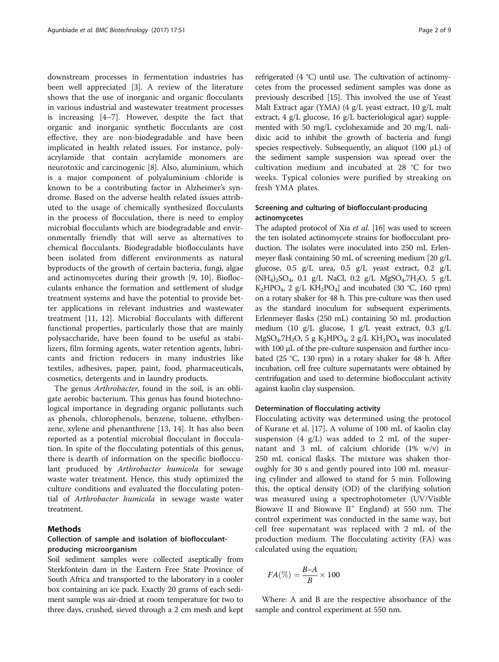downstream processes in fermentation industries has been well appreciated [[3\]](#page-7-0). A review of the literature shows that the use of inorganic and organic flocculants in various industrial and wastewater treatment processes is increasing [\[4](#page-7-0)–[7](#page-7-0)]. However, despite the fact that organic and inorganic synthetic flocculants are cost effective, they are non-biodegradable and have been implicated in health related issues. For instance, polyacrylamide that contain acrylamide monomers are neurotoxic and carcinogenic [\[8](#page-7-0)]. Also, aluminium, which is a major component of polyaluminium chloride is known to be a contributing factor in Alzheimer's syndrome. Based on the adverse health related issues attributed to the usage of chemically synthesized flocculants in the process of flocculation, there is need to employ microbial flocculants which are biodegradable and environmentally friendly that will serve as alternatives to chemical flocculants. Biodegradable bioflocculants have been isolated from different environments as natural byproducts of the growth of certain bacteria, fungi, algae and actinomycetes during their growth [\[9](#page-7-0), [10](#page-7-0)]. Bioflocculants enhance the formation and settlement of sludge treatment systems and have the potential to provide better applications in relevant industries and wastewater treatment [\[11](#page-7-0), [12\]](#page-7-0). Microbial flocculants with different functional properties, particularly those that are mainly polysaccharide, have been found to be useful as stabilizers, film forming agents, water retention agents, lubricants and friction reducers in many industries like textiles, adhesives, paper, paint, food, pharmaceuticals, cosmetics, detergents and in laundry products.

The genus *Arthrobacter*, found in the soil, is an obligate aerobic bacterium. This genus has found biotechnological importance in degrading organic pollutants such as phenols, chlorophenols, benzene, toluene, ethylbenzene, xylene and phenanthrene [\[13](#page-7-0), [14\]](#page-7-0). It has also been reported as a potential microbial flocculant in flocculation. In spite of the flocculating potentials of this genus, there is dearth of information on the specific bioflocculant produced by Arthrobacter humicola for sewage waste water treatment. Hence, this study optimized the culture conditions and evaluated the flocculating potential of Arthrobacter humicola in sewage waste water treatment.

### Methods

### Collection of sample and isolation of bioflocculantproducing microorganism

Soil sediment samples were collected aseptically from Sterkfontein dam in the Eastern Free State Province of South Africa and transported to the laboratory in a cooler box containing an ice pack. Exactly 20 grams of each sediment sample was air-dried at room temperature for two to three days, crushed, sieved through a 2 cm mesh and kept refrigerated (4 °C) until use. The cultivation of actinomycetes from the processed sediment samples was done as previously described [[15](#page-7-0)]. This involved the use of Yeast Malt Extract agar (YMA) (4 g/L yeast extract, 10 g/L malt extract, 4 g/L glucose, 16 g/L bacteriological agar) supplemented with 50 mg/L cyclohexamide and 20 mg/L nalidixic acid to inhibit the growth of bacteria and fungi species respectively. Subsequently, an aliquot (100 μL) of the sediment sample suspension was spread over the cultivation medium and incubated at 28 °C for two weeks. Typical colonies were purified by streaking on fresh YMA plates.

# Screening and culturing of bioflocculant-producing actinomycetes

The adapted protocol of Xia et al. [\[16\]](#page-7-0) was used to screen the ten isolated actinomycete strains for bioflocculant production. The isolates were inoculated into 250 mL Erlenmeyer flask containing 50 mL of screening medium [20 g/L glucose, 0.5 g/L urea, 0.5 g/L yeast extract, 0.2 g/L  $(NH_4)_2SO_4$ , 0.1 g/L NaCl, 0.2 g/L MgSO<sub>4</sub>.7H<sub>2</sub>O, 5 g/L K<sub>2</sub>HPO<sub>4</sub>, 2 g/L KH<sub>2</sub>PO<sub>4</sub>] and incubated (30 °C, 160 rpm) on a rotary shaker for 48 h. This pre-culture was then used as the standard inoculum for subsequent experiments. Erlenmeyer flasks (250 mL) containing 50 mL production medium (10 g/L glucose, 1 g/L yeast extract, 0.3 g/L  $MgSO<sub>4</sub>$ .7H<sub>2</sub>O, 5 g K<sub>2</sub>HPO<sub>4</sub>, 2 g/L KH<sub>2</sub>PO<sub>4</sub> was inoculated with 100 μL of the pre-culture suspension and further incubated (25 °C, 130 rpm) in a rotary shaker for 48 h. After incubation, cell free culture supernatants were obtained by centrifugation and used to determine bioflocculant activity against kaolin clay suspension.

#### Determination of flocculating activity

Flocculating activity was determined using the protocol of Kurane et al. [\[17](#page-7-0)]. A volume of 100 mL of kaolin clay suspension  $(4 \text{ g/L})$  was added to 2 mL of the supernatant and 3 mL of calcium chloride (1% w/v) in 250 mL conical flasks. The mixture was shaken thoroughly for 30 s and gently poured into 100 mL measuring cylinder and allowed to stand for 5 min. Following this, the optical density (OD) of the clarifying solution was measured using a spectrophotometer (UV/Visible Biowave II and Biowave  $II^+$  England) at 550 nm. The control experiment was conducted in the same way, but cell free supernatant was replaced with 2 mL of the production medium. The flocculating activity (FA) was calculated using the equation;

$$
FA(\%) = \frac{B-A}{B} \times 100
$$

Where: A and B are the respective absorbance of the sample and control experiment at 550 nm.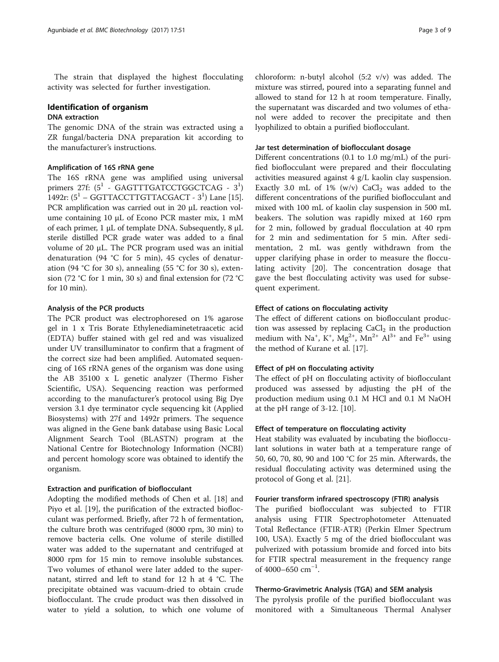The strain that displayed the highest flocculating activity was selected for further investigation.

#### Identification of organism DNA extraction

The genomic DNA of the strain was extracted using a ZR fungal/bacteria DNA preparation kit according to the manufacturer's instructions.

#### Amplification of 16S rRNA gene

The 16S rRNA gene was amplified using universal primers 27f:  $(5^1$  - GAGTTTGATCCTGGCTCAG -  $3^1)$ 1492 $r: (5^1 - GGTTACCTTGTTACGACT - 3^1)$  Lane [[15](#page-7-0)]. PCR amplification was carried out in 20 μL reaction volume containing 10 μL of Econo PCR master mix, 1 mM of each primer, 1 μL of template DNA. Subsequently, 8 μL sterile distilled PCR grade water was added to a final volume of 20 μL. The PCR program used was an initial denaturation (94 °C for 5 min), 45 cycles of denaturation (94 °C for 30 s), annealing (55 °C for 30 s), extension (72 °C for 1 min, 30 s) and final extension for (72 °C for 10 min).

#### Analysis of the PCR products

The PCR product was electrophoresed on 1% agarose gel in 1 x Tris Borate Ethylenediaminetetraacetic acid (EDTA) buffer stained with gel red and was visualized under UV transilluminator to confirm that a fragment of the correct size had been amplified. Automated sequencing of 16S rRNA genes of the organism was done using the AB 35100 x L genetic analyzer (Thermo Fisher Scientific, USA). Sequencing reaction was performed according to the manufacturer's protocol using Big Dye version 3.1 dye terminator cycle sequencing kit (Applied Biosystems) with 27f and 1492r primers. The sequence was aligned in the Gene bank database using Basic Local Alignment Search Tool (BLASTN) program at the National Centre for Biotechnology Information (NCBI) and percent homology score was obtained to identify the organism.

#### Extraction and purification of bioflocculant

Adopting the modified methods of Chen et al. [[18\]](#page-7-0) and Piyo et al. [[19](#page-7-0)], the purification of the extracted bioflocculant was performed. Briefly, after 72 h of fermentation, the culture broth was centrifuged (8000 rpm, 30 min) to remove bacteria cells. One volume of sterile distilled water was added to the supernatant and centrifuged at 8000 rpm for 15 min to remove insoluble substances. Two volumes of ethanol were later added to the supernatant, stirred and left to stand for 12 h at 4 °C. The precipitate obtained was vacuum-dried to obtain crude bioflocculant. The crude product was then dissolved in water to yield a solution, to which one volume of

chloroform: n-butyl alcohol (5:2 v/v) was added. The mixture was stirred, poured into a separating funnel and allowed to stand for 12 h at room temperature. Finally, the supernatant was discarded and two volumes of ethanol were added to recover the precipitate and then lyophilized to obtain a purified bioflocculant.

#### Jar test determination of bioflocculant dosage

Different concentrations (0.1 to 1.0 mg/mL) of the purified bioflocculant were prepared and their flocculating activities measured against 4 g/L kaolin clay suspension. Exactly 3.0 mL of 1% (w/v)  $CaCl<sub>2</sub>$  was added to the different concentrations of the purified bioflocculant and mixed with 100 mL of kaolin clay suspension in 500 mL beakers. The solution was rapidly mixed at 160 rpm for 2 min, followed by gradual flocculation at 40 rpm for 2 min and sedimentation for 5 min. After sedimentation, 2 mL was gently withdrawn from the upper clarifying phase in order to measure the flocculating activity [[20\]](#page-7-0). The concentration dosage that gave the best flocculating activity was used for subsequent experiment.

#### Effect of cations on flocculating activity

The effect of different cations on bioflocculant production was assessed by replacing  $CaCl<sub>2</sub>$  in the production medium with Na<sup>+</sup>, K<sup>+</sup>, Mg<sup>2+</sup>, Mn<sup>2+</sup> Al<sup>3+</sup> and Fe<sup>3+</sup> using the method of Kurane et al. [\[17](#page-7-0)].

#### Effect of pH on flocculating activity

The effect of pH on flocculating activity of bioflocculant produced was assessed by adjusting the pH of the production medium using 0.1 M HCl and 0.1 M NaOH at the pH range of 3-12. [[10\]](#page-7-0).

#### Effect of temperature on flocculating activity

Heat stability was evaluated by incubating the bioflocculant solutions in water bath at a temperature range of 50, 60, 70, 80, 90 and 100 °C for 25 min. Afterwards, the residual flocculating activity was determined using the protocol of Gong et al. [\[21\]](#page-7-0).

#### Fourier transform infrared spectroscopy (FTIR) analysis

The purified bioflocculant was subjected to FTIR analysis using FTIR Spectrophotometer Attenuated Total Reflectance (FTIR-ATR) (Perkin Elmer Spectrum 100, USA). Exactly 5 mg of the dried bioflocculant was pulverized with potassium bromide and forced into bits for FTIR spectral measurement in the frequency range of 4000–650 cm<sup>-1</sup>.

#### Thermo-Gravimetric Analysis (TGA) and SEM analysis

The pyrolysis profile of the purified bioflocculant was monitored with a Simultaneous Thermal Analyser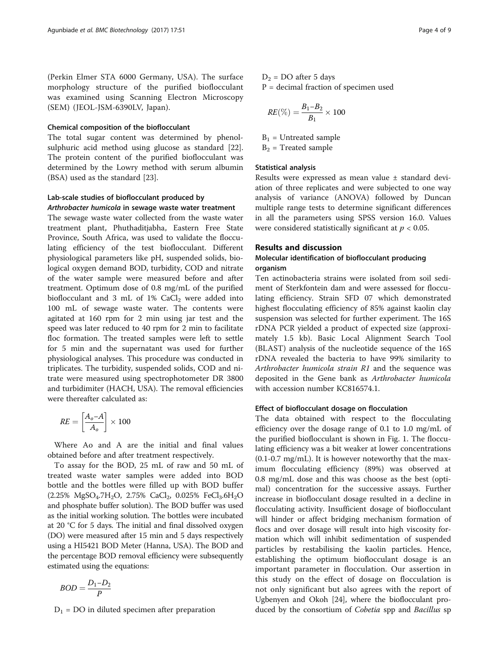(Perkin Elmer STA 6000 Germany, USA). The surface morphology structure of the purified bioflocculant was examined using Scanning Electron Microscopy (SEM) (JEOL-JSM-6390LV, Japan).

#### Chemical composition of the bioflocculant

The total sugar content was determined by phenolsulphuric acid method using glucose as standard [\[22](#page-7-0)]. The protein content of the purified bioflocculant was determined by the Lowry method with serum albumin (BSA) used as the standard [[23\]](#page-7-0).

# Lab-scale studies of bioflocculant produced by Arthrobacter humicola in sewage waste water treatment

The sewage waste water collected from the waste water treatment plant, Phuthaditjabha, Eastern Free State Province, South Africa, was used to validate the flocculating efficiency of the test bioflocculant. Different physiological parameters like pH, suspended solids, biological oxygen demand BOD, turbidity, COD and nitrate of the water sample were measured before and after treatment. Optimum dose of 0.8 mg/mL of the purified bioflocculant and 3 mL of  $1\%$  CaCl<sub>2</sub> were added into 100 mL of sewage waste water. The contents were agitated at 160 rpm for 2 min using jar test and the speed was later reduced to 40 rpm for 2 min to facilitate floc formation. The treated samples were left to settle for 5 min and the supernatant was used for further physiological analyses. This procedure was conducted in triplicates. The turbidity, suspended solids, COD and nitrate were measured using spectrophotometer DR 3800 and turbidimiter (HACH, USA). The removal efficiencies were thereafter calculated as:

$$
RE = \left[\frac{A_o - A}{A_o}\right] \times 100
$$

Where Ao and A are the initial and final values obtained before and after treatment respectively.

To assay for the BOD, 25 mL of raw and 50 mL of treated waste water samples were added into BOD bottle and the bottles were filled up with BOD buffer  $(2.25\% \text{ MgSO}_4.7H_2O, 2.75\% \text{ CaCl}_2, 0.025\% \text{ FeCl}_3.6H_2O)$ and phosphate buffer solution). The BOD buffer was used as the initial working solution. The bottles were incubated at 20 °C for 5 days. The initial and final dissolved oxygen (DO) were measured after 15 min and 5 days respectively using a HI5421 BOD Meter (Hanna, USA). The BOD and the percentage BOD removal efficiency were subsequently estimated using the equations:

$$
BOD = \frac{D_1 - D_2}{P}
$$

 $D_1$  = DO in diluted specimen after preparation

 $D_2$  = DO after 5 days P = decimal fraction of specimen used

$$
RE(\%) = \frac{B_1 - B_2}{B_1} \times 100
$$

 $B_1$  = Untreated sample  $B_2$  = Treated sample

# Statistical analysis

Results were expressed as mean value ± standard deviation of three replicates and were subjected to one way analysis of variance (ANOVA) followed by Duncan multiple range tests to determine significant differences in all the parameters using SPSS version 16.0. Values were considered statistically significant at  $p < 0.05$ .

#### Results and discussion

### Molecular identification of bioflocculant producing organism

Ten actinobacteria strains were isolated from soil sediment of Sterkfontein dam and were assessed for flocculating efficiency. Strain SFD 07 which demonstrated highest flocculating efficiency of 85% against kaolin clay suspension was selected for further experiment. The 16S rDNA PCR yielded a product of expected size (approximately 1.5 kb). Basic Local Alignment Search Tool (BLAST) analysis of the nucleotide sequence of the 16S rDNA revealed the bacteria to have 99% similarity to Arthrobacter humicola strain R1 and the sequence was deposited in the Gene bank as Arthrobacter humicola with accession number KC816574.1.

#### Effect of bioflocculant dosage on flocculation

The data obtained with respect to the flocculating efficiency over the dosage range of 0.1 to 1.0 mg/mL of the purified bioflocculant is shown in Fig. [1.](#page-4-0) The flocculating efficiency was a bit weaker at lower concentrations  $(0.1-0.7 \text{ mg/mL})$ . It is however noteworthy that the maximum flocculating efficiency (89%) was observed at 0.8 mg/mL dose and this was choose as the best (optimal) concentration for the successive assays. Further increase in bioflocculant dosage resulted in a decline in flocculating activity. Insufficient dosage of bioflocculant will hinder or affect bridging mechanism formation of flocs and over dosage will result into high viscosity formation which will inhibit sedimentation of suspended particles by restabilising the kaolin particles. Hence, establishing the optimum bioflocculant dosage is an important parameter in flocculation. Our assertion in this study on the effect of dosage on flocculation is not only significant but also agrees with the report of Ugbenyen and Okoh [\[24\]](#page-7-0), where the bioflocculant produced by the consortium of *Cobetia* spp and *Bacillus* sp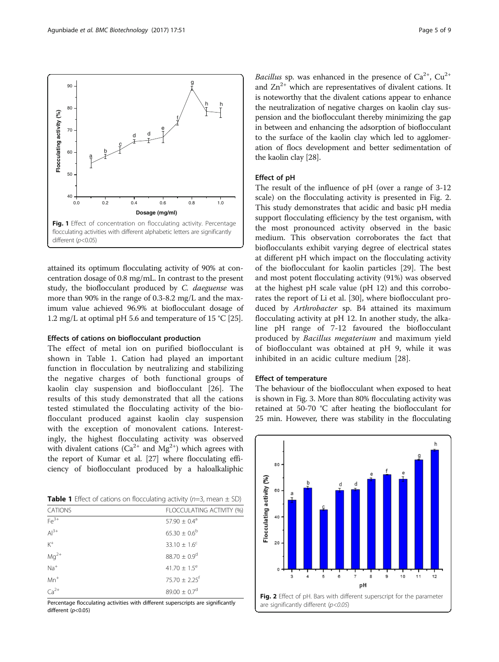<span id="page-4-0"></span>

attained its optimum flocculating activity of 90% at concentration dosage of 0.8 mg/mL. In contrast to the present study, the bioflocculant produced by C. daeguense was more than 90% in the range of 0.3-8.2 mg/L and the maximum value achieved 96.9% at bioflocculant dosage of 1.2 mg/L at optimal pH 5.6 and temperature of 15 °C [\[25\]](#page-7-0).

# Effects of cations on bioflocculant production

The effect of metal ion on purified bioflocculant is shown in Table 1. Cation had played an important function in flocculation by neutralizing and stabilizing the negative charges of both functional groups of kaolin clay suspension and bioflocculant [[26\]](#page-8-0). The results of this study demonstrated that all the cations tested stimulated the flocculating activity of the bioflocculant produced against kaolin clay suspension with the exception of monovalent cations. Interestingly, the highest flocculating activity was observed with divalent cations ( $Ca^{2+}$  and  $Mg^{2+}$ ) which agrees with the report of Kumar et al. [\[27\]](#page-8-0) where flocculating efficiency of bioflocculant produced by a haloalkaliphic

**Table 1** Effect of cations on flocculating activity ( $n=3$ , mean  $\pm$  SD)

| <b>CATIONS</b> | FLOCCULATING ACTIVITY (%)     |
|----------------|-------------------------------|
| $Fe3+$         | 57.90 $\pm$ 0.4 <sup>a</sup>  |
| $Al^{3+}$      | $65.30 \pm 0.6^{\rm b}$       |
| $K^+$          | 33.10 $\pm$ 1.6 <sup>c</sup>  |
| $Mg^{2+}$      | $88.70 \pm 0.9$ <sup>d</sup>  |
| $Na+$          | 41.70 $\pm$ 1.5 <sup>e</sup>  |
| $Mn^+$         | $75.70 \pm 2.25$ <sup>f</sup> |
| $Ca2+$         | $89.00 + 0.7$ <sup>d</sup>    |
|                |                               |

Percentage flocculating activities with different superscripts are significantly different (p<0.05)

Bacillus sp. was enhanced in the presence of  $Ca^{2+}$ ,  $Cu^{2+}$ and  $\text{Zn}^{2+}$  which are representatives of divalent cations. It is noteworthy that the divalent cations appear to enhance the neutralization of negative charges on kaolin clay suspension and the bioflocculant thereby minimizing the gap in between and enhancing the adsorption of bioflocculant to the surface of the kaolin clay which led to agglomeration of flocs development and better sedimentation of the kaolin clay [\[28\]](#page-8-0).

### Effect of pH

The result of the influence of pH (over a range of 3-12 scale) on the flocculating activity is presented in Fig. 2. This study demonstrates that acidic and basic pH media support flocculating efficiency by the test organism, with the most pronounced activity observed in the basic medium. This observation corroborates the fact that bioflocculants exhibit varying degree of electrical states at different pH which impact on the flocculating activity of the bioflocculant for kaolin particles [\[29](#page-8-0)]. The best and most potent flocculating activity (91%) was observed at the highest pH scale value (pH 12) and this corroborates the report of Li et al. [\[30](#page-8-0)], where bioflocculant produced by Arthrobacter sp. B4 attained its maximum flocculating activity at pH 12. In another study, the alkaline pH range of 7-12 favoured the bioflocculant produced by Bacillus megaterium and maximum yield of bioflocculant was obtained at pH 9, while it was inhibited in an acidic culture medium [[28\]](#page-8-0).

### Effect of temperature

The behaviour of the bioflocculant when exposed to heat is shown in Fig. [3](#page-5-0). More than 80% flocculating activity was retained at 50-70 °C after heating the bioflocculant for 25 min. However, there was stability in the flocculating

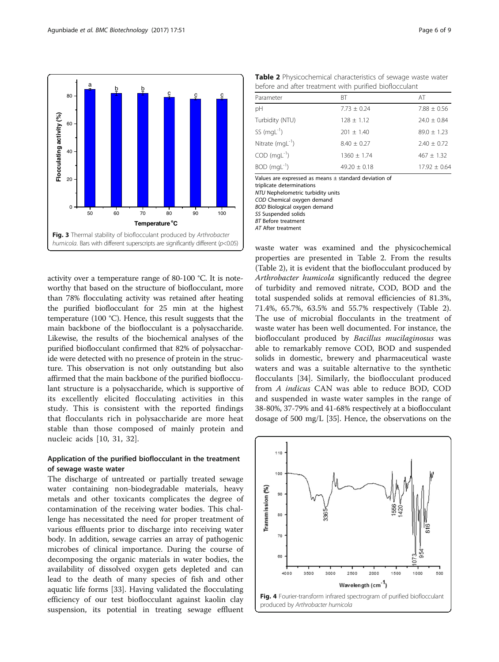<span id="page-5-0"></span>

activity over a temperature range of 80-100 °C. It is noteworthy that based on the structure of bioflocculant, more than 78% flocculating activity was retained after heating the purified bioflocculant for 25 min at the highest temperature (100 °C). Hence, this result suggests that the main backbone of the bioflocculant is a polysaccharide. Likewise, the results of the biochemical analyses of the purified bioflocculant confirmed that 82% of polysaccharide were detected with no presence of protein in the structure. This observation is not only outstanding but also affirmed that the main backbone of the purified bioflocculant structure is a polysaccharide, which is supportive of its excellently elicited flocculating activities in this study. This is consistent with the reported findings that flocculants rich in polysaccharide are more heat stable than those composed of mainly protein and nucleic acids [\[10](#page-7-0), [31](#page-8-0), [32\]](#page-8-0).

# Application of the purified bioflocculant in the treatment of sewage waste water

The discharge of untreated or partially treated sewage water containing non-biodegradable materials, heavy metals and other toxicants complicates the degree of contamination of the receiving water bodies. This challenge has necessitated the need for proper treatment of various effluents prior to discharge into receiving water body. In addition, sewage carries an array of pathogenic microbes of clinical importance. During the course of decomposing the organic materials in water bodies, the availability of dissolved oxygen gets depleted and can lead to the death of many species of fish and other aquatic life forms [[33\]](#page-8-0). Having validated the flocculating efficiency of our test bioflocculant against kaolin clay suspension, its potential in treating sewage effluent

|  |                                                        | <b>Table 2</b> Physicochemical characteristics of sewage waste water |  |
|--|--------------------------------------------------------|----------------------------------------------------------------------|--|
|  | before and after treatment with purified bioflocculant |                                                                      |  |

| Parameter                  | <b>BT</b>        | AT               |
|----------------------------|------------------|------------------|
| pH                         | $7.73 \pm 0.24$  | $7.88 \pm 0.56$  |
| Turbidity (NTU)            | $128 \pm 1.12$   | $24.0 \pm 0.84$  |
| SS $(mgl-1)$               | $201 \pm 1.40$   | $89.0 \pm 1.23$  |
| Nitrate $(mgl^{-1})$       | $8.40 \pm 0.27$  | $2.40 \pm 0.72$  |
| $COD$ (mgL <sup>-1</sup> ) | $1360 \pm 1.74$  | $467 \pm 1.32$   |
| $BOD$ (mgL <sup>-1</sup> ) | $49.20 \pm 0.18$ | $17.92 \pm 0.64$ |

Values are expressed as means ± standard deviation of triplicate determinations

NTU Nephelometric turbidity units

COD Chemical oxygen demand

BOD Biological oxygen demand

SS Suspended solids

BT Before treatment

AT After treatment

waste water was examined and the physicochemical properties are presented in Table 2. From the results (Table 2), it is evident that the bioflocculant produced by Arthrobacter humicola significantly reduced the degree of turbidity and removed nitrate, COD, BOD and the total suspended solids at removal efficiencies of 81.3%, 71.4%, 65.7%, 63.5% and 55.7% respectively (Table 2). The use of microbial flocculants in the treatment of waste water has been well documented. For instance, the bioflocculant produced by Bacillus mucilaginosus was able to remarkably remove COD, BOD and suspended solids in domestic, brewery and pharmaceutical waste waters and was a suitable alternative to the synthetic flocculants [[34\]](#page-8-0). Similarly, the bioflocculant produced from A indicus CAN was able to reduce BOD, COD and suspended in waste water samples in the range of 38-80%, 37-79% and 41-68% respectively at a bioflocculant dosage of 500 mg/L [[35](#page-8-0)]. Hence, the observations on the

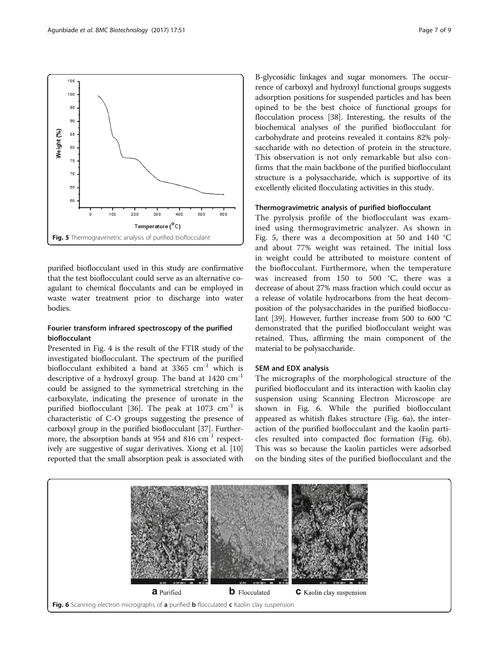<span id="page-6-0"></span>

purified bioflocculant used in this study are confirmative that the test bioflocculant could serve as an alternative coagulant to chemical flocculants and can be employed in waste water treatment prior to discharge into water bodies.

### Fourier transform infrared spectroscopy of the purified bioflocculant

Presented in Fig. [4](#page-5-0) is the result of the FTIR study of the investigated bioflocculant. The spectrum of the purified bioflocculant exhibited a band at  $3365 \text{ cm}^{-1}$  which is descriptive of a hydroxyl group. The band at 1420 cm-1 could be assigned to the symmetrical stretching in the carboxylate, indicating the presence of uronate in the purified bioflocculant [\[36](#page-8-0)]. The peak at  $1073 \text{ cm}^{-1}$  is characteristic of C-O groups suggesting the presence of carboxyl group in the purified bioflocculant [\[37\]](#page-8-0). Furthermore, the absorption bands at  $954$  and  $816$  cm<sup>-1</sup> respectively are suggestive of sugar derivatives. Xiong et al. [[10](#page-7-0)] reported that the small absorption peak is associated with

B-glycosidic linkages and sugar monomers. The occurrence of carboxyl and hydroxyl functional groups suggests adsorption positions for suspended particles and has been opined to be the best choice of functional groups for flocculation process [\[38\]](#page-8-0). Interesting, the results of the biochemical analyses of the purified bioflocculant for carbohydrate and proteins revealed it contains 82% polysaccharide with no detection of protein in the structure. This observation is not only remarkable but also confirms that the main backbone of the purified bioflocculant structure is a polysaccharide, which is supportive of its excellently elicited flocculating activities in this study.

#### Thermogravimetric analysis of purified bioflocculant

The pyrolysis profile of the bioflocculant was examined using thermogravimetric analyzer. As shown in Fig. 5, there was a decomposition at 50 and 140 °C and about 77% weight was retained. The initial loss in weight could be attributed to moisture content of the bioflocculant. Furthermore, when the temperature was increased from 150 to 500 °C, there was a decrease of about 27% mass fraction which could occur as a release of volatile hydrocarbons from the heat decomposition of the polysaccharides in the purified bioflocculant [\[39\]](#page-8-0). However, further increase from 500 to 600 °C demonstrated that the purified bioflocculant weight was retained. Thus, affirming the main component of the material to be polysaccharide.

#### SEM and EDX analysis

The micrographs of the morphological structure of the purified bioflocculant and its interaction with kaolin clay suspension using Scanning Electron Microscope are shown in Fig. 6. While the purified bioflocculant appeared as whitish flakes structure (Fig. 6a), the interaction of the purified bioflocculant and the kaolin particles resulted into compacted floc formation (Fig. 6b). This was so because the kaolin particles were adsorbed on the binding sites of the purified bioflocculant and the

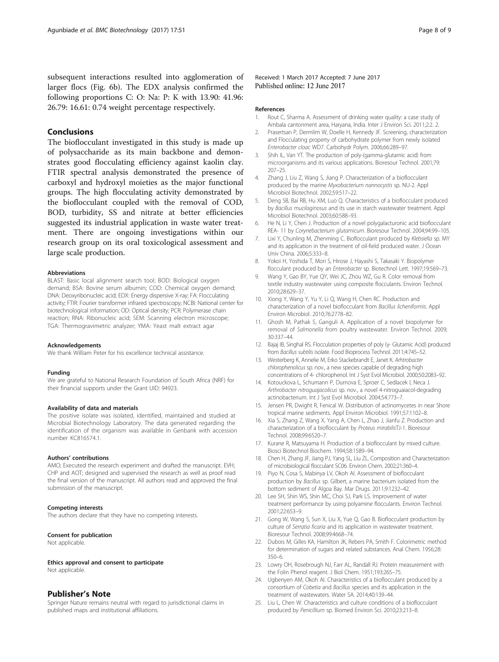<span id="page-7-0"></span>subsequent interactions resulted into agglomeration of larger flocs (Fig. [6b\)](#page-6-0). The EDX analysis confirmed the following proportions C: O: Na: P: K with 13.90: 41.96: 26.79: 16.61: 0.74 weight percentage respectively.

#### Conclusions

The bioflocculant investigated in this study is made up of polysaccharide as its main backbone and demonstrates good flocculating efficiency against kaolin clay. FTIR spectral analysis demonstrated the presence of carboxyl and hydroxyl moieties as the major functional groups. The high flocculating activity demonstrated by the bioflocculant coupled with the removal of COD, BOD, turbidity, SS and nitrate at better efficiencies suggested its industrial application in waste water treatment. There are ongoing investigations within our research group on its oral toxicological assessment and large scale production.

#### Abbreviations

BLAST: Basic local alignment search tool: BOD: Biological oxygen demand; BSA: Bovine serum albumin; COD: Chemical oxygen demand; DNA: Deoxyribonucleic acid; EDX: Energy dispersive X-ray; FA: Flocculating activity; FTIR: Fourier transformer infrared spectroscopy; NCBI: National center for biotechnological information; OD: Optical density; PCR: Polymerase chain reaction; RNA: Ribonucleic acid; SEM: Scanning electron microscope; TGA: Thermogravimetric analyzer; YMA: Yeast malt extract agar

#### Acknowledgements

We thank William Peter for his excellence technical assistance.

#### Funding

We are grateful to National Research Foundation of South Africa (NRF) for their financial supports under the Grant UID: 94923.

#### Availability of data and materials

The positive isolate was isolated, identified, maintained and studied at Microbial Biotechnology Laboratory. The data generated regarding the identification of the organism was available in Genbank with accession number KC816574.1.

#### Authors' contributions

AMO; Executed the research experiment and drafted the manuscript. EVH; CHP and AOT; designed and supervised the research as well as proof read the final version of the manuscript. All authors read and approved the final submission of the manuscript.

#### Competing interests

The authors declare that they have no competing interests.

#### Consent for publication

Not applicable.

#### Ethics approval and consent to participate

Not applicable.

#### Publisher's Note

Springer Nature remains neutral with regard to jurisdictional claims in published maps and institutional affiliations.

Received: 1 March 2017 Accepted: 7 June 2017 Published online: 12 June 2017

#### References

- 1. Rout C, Sharma A. Assessment of drinking water quality: a case study of Ambala cantonment area, Haryana, India. Inter J Environ Sci. 2011;2:2. 2.
- 2. Prasertsan P, Dermlim W, Doelle H, Kennedy JF. Screening, characterization and Flocculating property of carbohydrate polymer from newly isolated Enterobacter cloac WD7. Carbohydr Polym. 2006;66:289–97.
- 3. Shih IL, Van YT. The production of poly-(gamma-glutamic acid) from microorganisms and its various applications. Bioresour Technol. 2001;79: 207–25.
- 4. Zhang J, Liu Z, Wang S, Jiang P. Characterization of a bioflocculant produced by the marine Myxobacterium nannocystis sp. NU-2. Appl Microbiol Biotechnol. 2002;59:517–22.
- 5. Deng SB, Bai RB, Hu XM, Luo Q. Characteristics of a bioflocculant produced by Bacillus mucilaginosus and its use in starch wastewater treatment. Appl Microbiol Biotechnol. 2003;60:588–93.
- 6. He N, Li Y, Chen J. Production of a novel polygalacturonic acid bioflocculant REA- 11 by Corynebacterium glutamicum. Bioresour Technol. 2004;94:99–105.
- 7. Lixi Y, Chunling M, Zhenming C. Bioflocculant produced by Klebsiella sp. MY and its application in the treatment of oil-field produced water. J Ocean Univ China. 2006;5:333–8.
- 8. Yokoi H, Yoshida T, Mori S, Hirose J, Hayashi S, Takasaki Y. Biopolymer flocculant produced by an Enterobacter sp. Biotechnol Lett. 1997;19:569–73.
- 9. Wang Y, Gao BY, Yue QY, Wei JC, Zhou WZ, Gu R. Color removal from textile industry wastewater using composite flocculants. Environ Technol. 2010;28:629–37.
- 10. Xiong Y, Wang Y, Yu Y, Li Q, Wang H, Chen RC. Production and characterization of a novel bioflocculant from Bacillus licheniformis. Appl Environ Microbiol. 2010;76:2778–82.
- 11. Ghosh M, Pathak S, Ganguli A. Application of a novel biopolymer for removal of Salmonella from poultry wastewater. Environ Technol. 2009; 30:337–44.
- 12. Bajaj IB, Singhal RS. Flocculation properties of poly (γ- Glutamic Acid) produced from Bacillus subtilis isolate. Food Bioprocess Technol. 2011;4:745–52.
- 13. Westerberg K, Annelie M, Erko Stackebrandt E, Janet K. Arhtrobacter chlorophenolicus sp. nov., a new species capable of degrading high concentrations of 4- chlorophenol. Int J Syst Evol Microbiol. 2000;50:2083–92.
- 14. Kotouckova L, Schumann P, Durnova E, Sproer C, Sedlacek I, Neca J. Arthrobacter nitroguajacolicus sp. nov., a novel 4-nitroguaiacol-degrading actinobacterium. Int J Syst Evol Microbiol. 2004;54:773–7.
- 15. Jensen PR, Dwight R, Fenical W. Distribution of actinomycetes in near Shore tropical marine sediments. Appl Environ Microbiol. 1991;57:1102–8.
- 16. Xia S, Zhang Z, Wang X, Yang A, Chen L, Zhao J, Jianfu Z. Production and characterization of a bioflocculant by Proteus mirabilisTJ-1. Bioresour Technol. 2008;99:6520–7.
- 17. Kurane R, Matsuyama H. Production of a bioflocculant by mixed culture. Biosci Biotechnol Biochem. 1994;58:1589–94.
- 18. Chen H, Zhang JF, Jiang PJ, Yang SL, Liu ZL. Composition and Characterization of microbiological flocculant SC06. Environ Chem. 2002;21:360–4.
- 19. Piyo N, Cosa S, Mabinya LV, Okoh AI. Assessment of bioflocculant production by Bacillus sp. Gilbert, a marine bacterium isolated from the bottom sediment of Algoa Bay. Mar Drugs. 2011;9:1232–42.
- 20. Lee SH, Shin WS, Shin MC, Choi SJ, Park LS. Improvement of water treatment performance by using polyamine flocculants. Environ Technol. 2001;22:653–9.
- 21. Gong W, Wang S, Sun X, Liu X, Yue Q, Gao B. Bioflocculant production by culture of Serratia ficaria and its application in wastewater treatment. Bioresour Technol. 2008;99:4668–74.
- 22. Dubois M, Gilles KA, Hamilton JK, Rebers PA, Smith F. Colorimetric method for determination of sugars and related substances. Anal Chem. 1956;28: 350–6.
- 23. Lowry OH, Rosebrough NJ, Farr AL, Randall RJ. Protein measurement with the Folin Phenol reagent. J Biol Chem. 1951;193:265–75.
- 24. Ugbenyen AM, Okoh AI. Characteristics of a bioflocculant produced by a consortium of Cobetia and Bacillus species and its application in the treatment of wastewaters. Water SA. 2014;40:139–44.
- 25. Liu L, Chen W. Characteristics and culture conditions of a bioflocculant produced by Penicillium sp. Biomed Environ Sci. 2010;23:213–8.